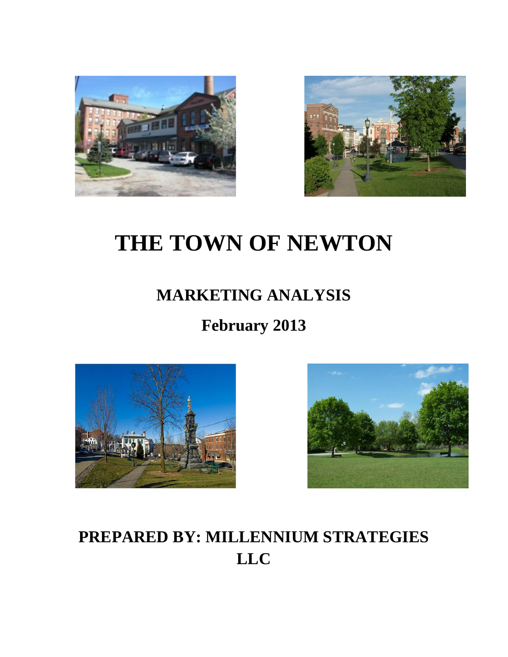



# **THE TOWN OF NEWTON**

### **MARKETING ANALYSIS**

## **February 2013**





## **PREPARED BY: MILLENNIUM STRATEGIES LLC**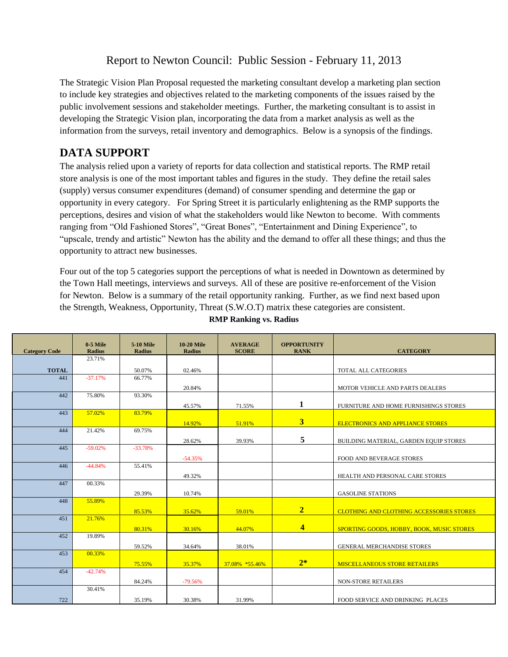### Report to Newton Council: Public Session - February 11, 2013

The Strategic Vision Plan Proposal requested the marketing consultant develop a marketing plan section to include key strategies and objectives related to the marketing components of the issues raised by the public involvement sessions and stakeholder meetings. Further, the marketing consultant is to assist in developing the Strategic Vision plan, incorporating the data from a market analysis as well as the information from the surveys, retail inventory and demographics. Below is a synopsis of the findings.

#### **DATA SUPPORT**

The analysis relied upon a variety of reports for data collection and statistical reports. The RMP retail store analysis is one of the most important tables and figures in the study. They define the retail sales (supply) versus consumer expenditures (demand) of consumer spending and determine the gap or opportunity in every category. For Spring Street it is particularly enlightening as the RMP supports the perceptions, desires and vision of what the stakeholders would like Newton to become. With comments ranging from "Old Fashioned Stores", "Great Bones", "Entertainment and Dining Experience", to "upscale, trendy and artistic" Newton has the ability and the demand to offer all these things; and thus the opportunity to attract new businesses.

Four out of the top 5 categories support the perceptions of what is needed in Downtown as determined by the Town Hall meetings, interviews and surveys. All of these are positive re-enforcement of the Vision for Newton. Below is a summary of the retail opportunity ranking. Further, as we find next based upon the Strength, Weakness, Opportunity, Threat (S.W.O.T) matrix these categories are consistent.

| <b>Category Code</b> | $0-5$ Mile<br>Radius | <b>5-10 Mile</b><br><b>Radius</b> | <b>10-20 Mile</b><br><b>Radius</b> | <b>AVERAGE</b><br><b>SCORE</b> | <b>OPPORTUNITY</b><br><b>RANK</b> | <b>CATEGORY</b>                                 |
|----------------------|----------------------|-----------------------------------|------------------------------------|--------------------------------|-----------------------------------|-------------------------------------------------|
|                      | 23.71%               |                                   |                                    |                                |                                   |                                                 |
| <b>TOTAL</b>         |                      | 50.07%                            | 02.46%                             |                                |                                   | TOTAL ALL CATEGORIES                            |
| 441                  | $-37.17%$            | 66.77%                            |                                    |                                |                                   |                                                 |
|                      |                      |                                   | 20.84%                             |                                |                                   | MOTOR VEHICLE AND PARTS DEALERS                 |
| 442                  | 75.80%               | 93.30%                            |                                    |                                |                                   |                                                 |
|                      |                      |                                   | 45.57%                             | 71.55%                         | $\mathbf{1}$                      | FURNITURE AND HOME FURNISHINGS STORES           |
| 443                  | 57.02%               | 83.79%                            |                                    |                                |                                   |                                                 |
| 444                  | 21.42%               | 69.75%                            | 14.92%                             | 51.91%                         | 3 <sup>1</sup>                    | <b>ELECTRONICS AND APPLIANCE STORES</b>         |
|                      |                      |                                   |                                    |                                | 5                                 |                                                 |
| 445                  | $-59.02%$            | $-33.78%$                         | 28.62%                             | 39.93%                         |                                   | BUILDING MATERIAL, GARDEN EQUIP STORES          |
|                      |                      |                                   |                                    |                                |                                   |                                                 |
| 446                  | $-44.84%$            | 55.41%                            | $-54.35%$                          |                                |                                   | FOOD AND BEVERAGE STORES                        |
|                      |                      |                                   | 49.32%                             |                                |                                   | HEALTH AND PERSONAL CARE STORES                 |
| 447                  | 00.33%               |                                   |                                    |                                |                                   |                                                 |
|                      |                      | 29.39%                            | 10.74%                             |                                |                                   | <b>GASOLINE STATIONS</b>                        |
| 448                  | 55.89%               |                                   |                                    |                                |                                   |                                                 |
|                      |                      | 85.53%                            | 35.62%                             | 59.01%                         | $\overline{2}$                    | <b>CLOTHING AND CLOTHING ACCESSORIES STORES</b> |
| 451                  | 21.76%               |                                   |                                    |                                |                                   |                                                 |
|                      |                      | 80.31%                            | 30.16%                             | 44.07%                         | $\overline{4}$                    | SPORTING GOODS, HOBBY, BOOK, MUSIC STORES       |
| 452                  | 19.89%               |                                   |                                    |                                |                                   |                                                 |
|                      | 00.33%               | 59.52%                            | 34.64%                             | 38.01%                         |                                   | <b>GENERAL MERCHANDISE STORES</b>               |
| 453                  |                      |                                   |                                    |                                | $2*$                              |                                                 |
| 454                  | $-42.74%$            | 75.55%                            | 35.37%                             | 37.08% *55.46%                 |                                   | <b>MISCELLANEOUS STORE RETAILERS</b>            |
|                      |                      | 84.24%                            | $-79.56%$                          |                                |                                   | <b>NON-STORE RETAILERS</b>                      |
|                      | 30.41%               |                                   |                                    |                                |                                   |                                                 |
| 722                  |                      |                                   |                                    |                                |                                   |                                                 |
|                      |                      | 35.19%                            | 30.38%                             | 31.99%                         |                                   | FOOD SERVICE AND DRINKING PLACES                |

**RMP Ranking vs. Radius**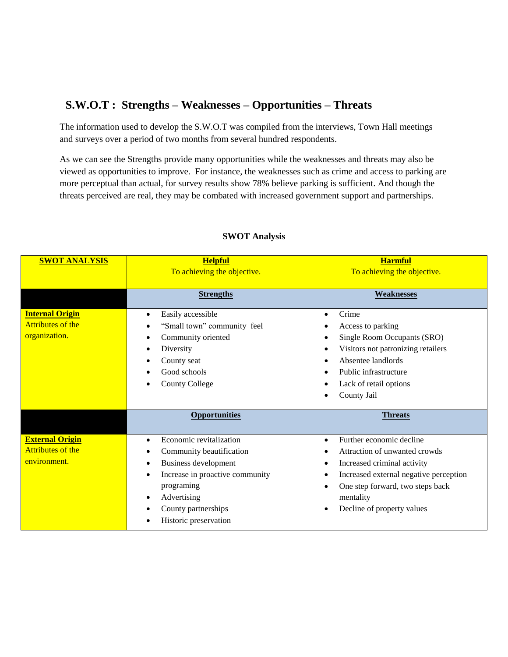#### **S.W.O.T : Strengths – Weaknesses – Opportunities – Threats**

The information used to develop the S.W.O.T was compiled from the interviews, Town Hall meetings and surveys over a period of two months from several hundred respondents.

As we can see the Strengths provide many opportunities while the weaknesses and threats may also be viewed as opportunities to improve. For instance, the weaknesses such as crime and access to parking are more perceptual than actual, for survey results show 78% believe parking is sufficient. And though the threats perceived are real, they may be combated with increased government support and partnerships.

| <b>SWOT ANALYSIS</b>                                                | <b>Helpful</b><br>To achieving the objective.                                                                                                                                                                                           | <b>Harmful</b><br>To achieving the objective.                                                                                                                                                                                  |  |
|---------------------------------------------------------------------|-----------------------------------------------------------------------------------------------------------------------------------------------------------------------------------------------------------------------------------------|--------------------------------------------------------------------------------------------------------------------------------------------------------------------------------------------------------------------------------|--|
|                                                                     | <b>Strengths</b>                                                                                                                                                                                                                        | <b>Weaknesses</b>                                                                                                                                                                                                              |  |
| <b>Internal Origin</b><br><b>Attributes of the</b><br>organization. | Easily accessible<br>$\bullet$<br>"Small town" community feel<br>Community oriented<br>$\bullet$<br>Diversity<br>$\bullet$<br>County seat<br>Good schools<br><b>County College</b>                                                      | Crime<br>$\bullet$<br>Access to parking<br>Single Room Occupants (SRO)<br>$\bullet$<br>Visitors not patronizing retailers<br>Absentee landlords<br>Public infrastructure<br>Lack of retail options<br>County Jail              |  |
|                                                                     | <b>Opportunities</b>                                                                                                                                                                                                                    | <b>Threats</b>                                                                                                                                                                                                                 |  |
| <b>External Origin</b><br>Attributes of the<br>environment.         | Economic revitalization<br>$\bullet$<br>Community beautification<br>Business development<br>$\bullet$<br>Increase in proactive community<br>$\bullet$<br>programing<br>Advertising<br>٠<br>County partnerships<br>Historic preservation | Further economic decline<br>$\bullet$<br>Attraction of unwanted crowds<br>Increased criminal activity<br>Increased external negative perception<br>One step forward, two steps back<br>mentality<br>Decline of property values |  |

#### **SWOT Analysis**